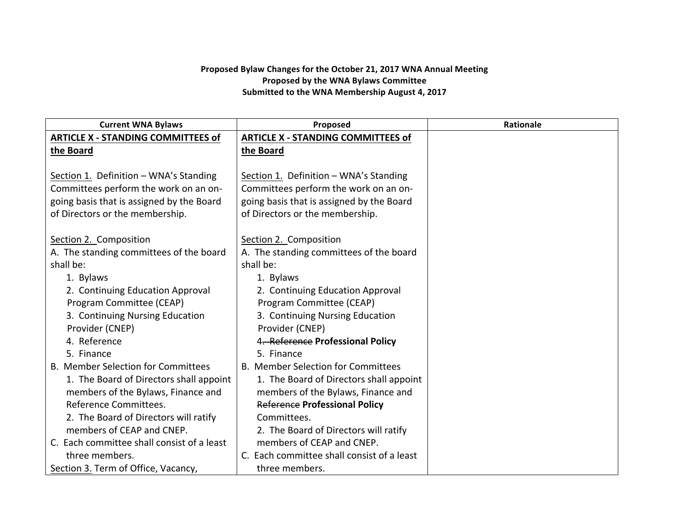## Proposed Bylaw Changes for the October 21, 2017 WNA Annual Meeting **Proposed by the WNA Bylaws Committee** Submitted to the WNA Membership August 4, 2017

| <b>Current WNA Bylaws</b>                  | Proposed                                   | <b>Rationale</b> |
|--------------------------------------------|--------------------------------------------|------------------|
| <b>ARTICLE X - STANDING COMMITTEES of</b>  | <b>ARTICLE X - STANDING COMMITTEES of</b>  |                  |
| the Board                                  | the Board                                  |                  |
|                                            |                                            |                  |
| Section 1. Definition - WNA's Standing     | Section 1. Definition - WNA's Standing     |                  |
| Committees perform the work on an on-      | Committees perform the work on an on-      |                  |
| going basis that is assigned by the Board  | going basis that is assigned by the Board  |                  |
| of Directors or the membership.            | of Directors or the membership.            |                  |
|                                            |                                            |                  |
| Section 2. Composition                     | Section 2. Composition                     |                  |
| A. The standing committees of the board    | A. The standing committees of the board    |                  |
| shall be:                                  | shall be:                                  |                  |
| 1. Bylaws                                  | 1. Bylaws                                  |                  |
| 2. Continuing Education Approval           | 2. Continuing Education Approval           |                  |
| Program Committee (CEAP)                   | Program Committee (CEAP)                   |                  |
| 3. Continuing Nursing Education            | 3. Continuing Nursing Education            |                  |
| Provider (CNEP)                            | Provider (CNEP)                            |                  |
| 4. Reference                               | 4. Reference Professional Policy           |                  |
| 5. Finance                                 | 5. Finance                                 |                  |
| <b>B. Member Selection for Committees</b>  | <b>B. Member Selection for Committees</b>  |                  |
| 1. The Board of Directors shall appoint    | 1. The Board of Directors shall appoint    |                  |
| members of the Bylaws, Finance and         | members of the Bylaws, Finance and         |                  |
| Reference Committees.                      | <b>Reference Professional Policy</b>       |                  |
| 2. The Board of Directors will ratify      | Committees.                                |                  |
| members of CEAP and CNEP.                  | 2. The Board of Directors will ratify      |                  |
| C. Each committee shall consist of a least | members of CEAP and CNEP.                  |                  |
| three members.                             | C. Each committee shall consist of a least |                  |
| Section 3. Term of Office, Vacancy,        | three members.                             |                  |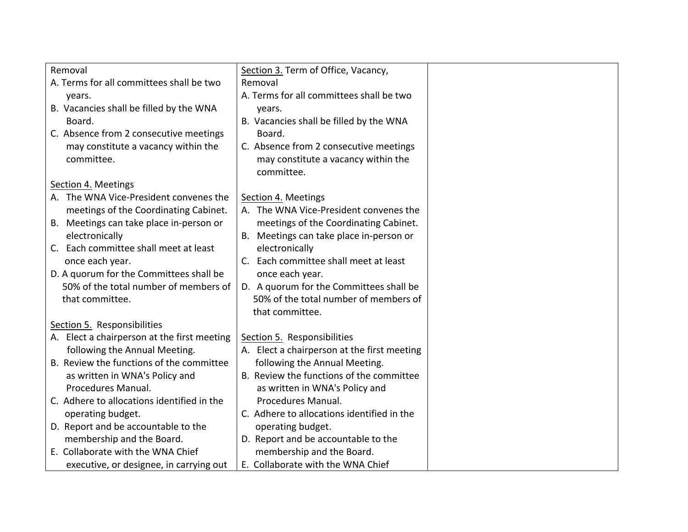| Removal                                     | Section 3. Term of Office, Vacancy,         |  |
|---------------------------------------------|---------------------------------------------|--|
| A. Terms for all committees shall be two    | Removal                                     |  |
| years.                                      | A. Terms for all committees shall be two    |  |
| B. Vacancies shall be filled by the WNA     | years.                                      |  |
| Board.                                      | B. Vacancies shall be filled by the WNA     |  |
| C. Absence from 2 consecutive meetings      | Board.                                      |  |
| may constitute a vacancy within the         | C. Absence from 2 consecutive meetings      |  |
| committee.                                  | may constitute a vacancy within the         |  |
|                                             | committee.                                  |  |
| Section 4. Meetings                         |                                             |  |
| A. The WNA Vice-President convenes the      | Section 4. Meetings                         |  |
| meetings of the Coordinating Cabinet.       | A. The WNA Vice-President convenes the      |  |
| B. Meetings can take place in-person or     | meetings of the Coordinating Cabinet.       |  |
| electronically                              | B. Meetings can take place in-person or     |  |
| C. Each committee shall meet at least       | electronically                              |  |
| once each year.                             | C. Each committee shall meet at least       |  |
| D. A quorum for the Committees shall be     | once each year.                             |  |
| 50% of the total number of members of       | D. A quorum for the Committees shall be     |  |
| that committee.                             | 50% of the total number of members of       |  |
|                                             | that committee.                             |  |
| Section 5. Responsibilities                 |                                             |  |
| A. Elect a chairperson at the first meeting | Section 5. Responsibilities                 |  |
| following the Annual Meeting.               | A. Elect a chairperson at the first meeting |  |
| B. Review the functions of the committee    | following the Annual Meeting.               |  |
| as written in WNA's Policy and              | B. Review the functions of the committee    |  |
| Procedures Manual.                          | as written in WNA's Policy and              |  |
| C. Adhere to allocations identified in the  | Procedures Manual.                          |  |
| operating budget.                           | C. Adhere to allocations identified in the  |  |
| D. Report and be accountable to the         | operating budget.                           |  |
| membership and the Board.                   | D. Report and be accountable to the         |  |
| E. Collaborate with the WNA Chief           | membership and the Board.                   |  |
| executive, or designee, in carrying out     | E. Collaborate with the WNA Chief           |  |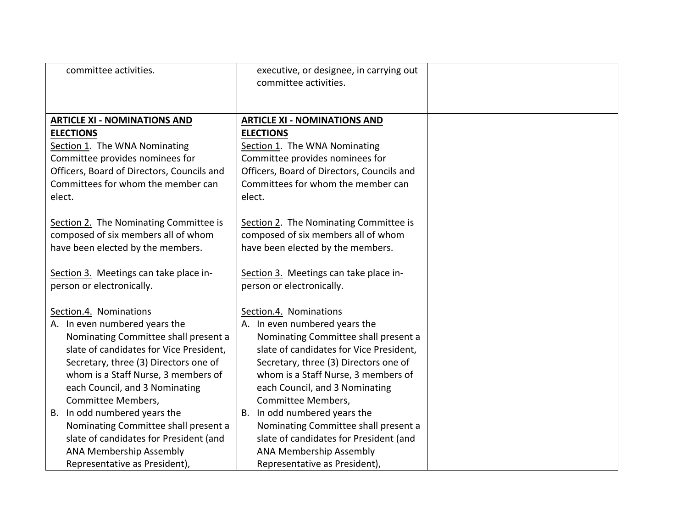| committee activities.                                                                                                                                                                                                                                                                                              | executive, or designee, in carrying out<br>committee activities.                                                                                                                                                                                                                                                   |  |
|--------------------------------------------------------------------------------------------------------------------------------------------------------------------------------------------------------------------------------------------------------------------------------------------------------------------|--------------------------------------------------------------------------------------------------------------------------------------------------------------------------------------------------------------------------------------------------------------------------------------------------------------------|--|
| <b>ARTICLE XI - NOMINATIONS AND</b><br><b>ELECTIONS</b>                                                                                                                                                                                                                                                            | <b>ARTICLE XI - NOMINATIONS AND</b><br><b>ELECTIONS</b>                                                                                                                                                                                                                                                            |  |
| Section 1. The WNA Nominating<br>Committee provides nominees for<br>Officers, Board of Directors, Councils and<br>Committees for whom the member can<br>elect.                                                                                                                                                     | Section 1. The WNA Nominating<br>Committee provides nominees for<br>Officers, Board of Directors, Councils and<br>Committees for whom the member can<br>elect.                                                                                                                                                     |  |
| Section 2. The Nominating Committee is<br>composed of six members all of whom<br>have been elected by the members.                                                                                                                                                                                                 | Section 2. The Nominating Committee is<br>composed of six members all of whom<br>have been elected by the members.                                                                                                                                                                                                 |  |
| Section 3. Meetings can take place in-<br>person or electronically.                                                                                                                                                                                                                                                | Section 3. Meetings can take place in-<br>person or electronically.                                                                                                                                                                                                                                                |  |
| Section.4. Nominations<br>A. In even numbered years the<br>Nominating Committee shall present a<br>slate of candidates for Vice President,<br>Secretary, three (3) Directors one of<br>whom is a Staff Nurse, 3 members of<br>each Council, and 3 Nominating<br>Committee Members,<br>B. In odd numbered years the | Section.4. Nominations<br>A. In even numbered years the<br>Nominating Committee shall present a<br>slate of candidates for Vice President,<br>Secretary, three (3) Directors one of<br>whom is a Staff Nurse, 3 members of<br>each Council, and 3 Nominating<br>Committee Members,<br>B. In odd numbered years the |  |
| Nominating Committee shall present a<br>slate of candidates for President (and<br><b>ANA Membership Assembly</b><br>Representative as President),                                                                                                                                                                  | Nominating Committee shall present a<br>slate of candidates for President (and<br><b>ANA Membership Assembly</b><br>Representative as President),                                                                                                                                                                  |  |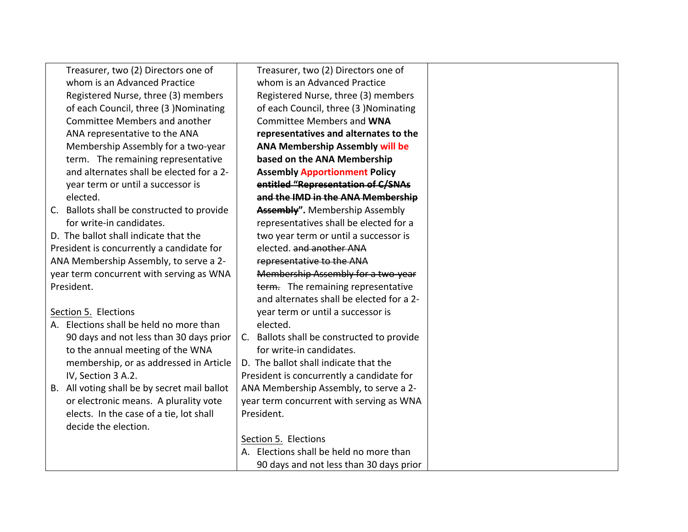| Treasurer, two (2) Directors one of          | Treasurer, two (2) Directors one of        |
|----------------------------------------------|--------------------------------------------|
| whom is an Advanced Practice                 | whom is an Advanced Practice               |
| Registered Nurse, three (3) members          | Registered Nurse, three (3) members        |
| of each Council, three (3) Nominating        | of each Council, three (3 )Nominating      |
| <b>Committee Members and another</b>         | <b>Committee Members and WNA</b>           |
| ANA representative to the ANA                | representatives and alternates to the      |
| Membership Assembly for a two-year           | <b>ANA Membership Assembly will be</b>     |
| term. The remaining representative           | based on the ANA Membership                |
| and alternates shall be elected for a 2-     | <b>Assembly Apportionment Policy</b>       |
| year term or until a successor is            | entitled "Representation of C/SNAs         |
| elected.                                     | and the IMD in the ANA Membership          |
| C. Ballots shall be constructed to provide   | Assembly". Membership Assembly             |
| for write-in candidates.                     | representatives shall be elected for a     |
| D. The ballot shall indicate that the        | two year term or until a successor is      |
| President is concurrently a candidate for    | elected. and another ANA                   |
| ANA Membership Assembly, to serve a 2-       | representative to the ANA                  |
| year term concurrent with serving as WNA     | Membership Assembly for a two year         |
| President.                                   | term. The remaining representative         |
|                                              | and alternates shall be elected for a 2-   |
| Section 5. Elections                         | year term or until a successor is          |
| A. Elections shall be held no more than      | elected.                                   |
| 90 days and not less than 30 days prior      | C. Ballots shall be constructed to provide |
| to the annual meeting of the WNA             | for write-in candidates.                   |
| membership, or as addressed in Article       | D. The ballot shall indicate that the      |
| IV, Section 3 A.2.                           | President is concurrently a candidate for  |
| B. All voting shall be by secret mail ballot | ANA Membership Assembly, to serve a 2-     |
| or electronic means. A plurality vote        | year term concurrent with serving as WNA   |
| elects. In the case of a tie, lot shall      | President.                                 |
| decide the election.                         |                                            |
|                                              | Section 5. Elections                       |
|                                              | A. Elections shall be held no more than    |
|                                              | 90 days and not less than 30 days prior    |